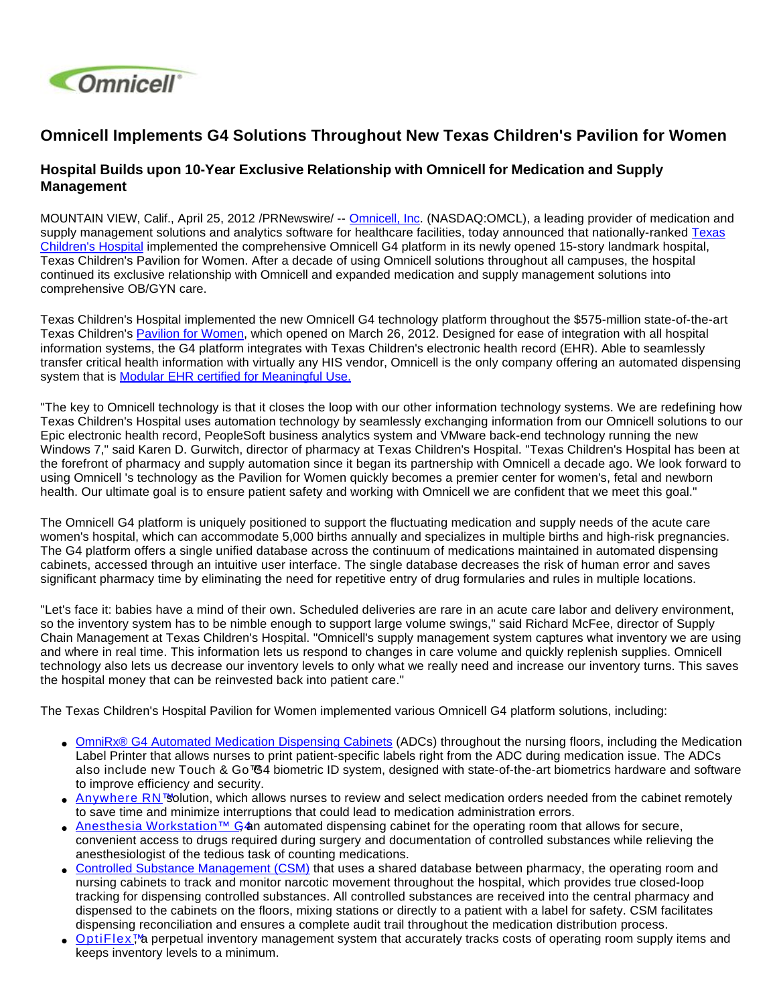

## **Omnicell Implements G4 Solutions Throughout New Texas Children's Pavilion for Women**

## **Hospital Builds upon 10-Year Exclusive Relationship with Omnicell for Medication and Supply Management**

MOUNTAIN VIEW, Calif., April 25, 2012 /PRNewswire/ -- [Omnicell, Inc.](http://www.omnicell.com/) (NASDAQ:OMCL), a leading provider of medication and supply management solutions and analytics software for healthcare facilities, today announced that nationally-ranked Texas [Children's Hospital](http://www.texaschildrens.org/About-Us/News/Pavilion-open-for-labor-and-delivery/) implemented the comprehensive Omnicell G4 platform in its newly opened 15-story landmark hospital, Texas Children's Pavilion for Women. After a decade of using Omnicell solutions throughout all campuses, the hospital continued its exclusive relationship with Omnicell and expanded medication and supply management solutions into comprehensive OB/GYN care.

Texas Children's Hospital implemented the new Omnicell G4 technology platform throughout the \$575-million state-of-the-art Texas Children's [Pavilion for Women](http://women.texaschildrens.org/The-Pavilion/), which opened on March 26, 2012. Designed for ease of integration with all hospital information systems, the G4 platform integrates with Texas Children's electronic health record (EHR). Able to seamlessly transfer critical health information with virtually any HIS vendor, Omnicell is the only company offering an automated dispensing system that is [Modular EHR certified for Meaningful Use.](http://www.omnicell.com/News_and_Events/Press_Releases/Modular_EHR_Certification_Further_Distinguishes_Omnicell.aspx)

"The key to Omnicell technology is that it closes the loop with our other information technology systems. We are redefining how Texas Children's Hospital uses automation technology by seamlessly exchanging information from our Omnicell solutions to our Epic electronic health record, PeopleSoft business analytics system and VMware back-end technology running the new Windows 7," said Karen D. Gurwitch, director of pharmacy at Texas Children's Hospital. "Texas Children's Hospital has been at the forefront of pharmacy and supply automation since it began its partnership with Omnicell a decade ago. We look forward to using Omnicell 's technology as the Pavilion for Women quickly becomes a premier center for women's, fetal and newborn health. Our ultimate goal is to ensure patient safety and working with Omnicell we are confident that we meet this goal."

The Omnicell G4 platform is uniquely positioned to support the fluctuating medication and supply needs of the acute care women's hospital, which can accommodate 5,000 births annually and specializes in multiple births and high-risk pregnancies. The G4 platform offers a single unified database across the continuum of medications maintained in automated dispensing cabinets, accessed through an intuitive user interface. The single database decreases the risk of human error and saves significant pharmacy time by eliminating the need for repetitive entry of drug formularies and rules in multiple locations.

"Let's face it: babies have a mind of their own. Scheduled deliveries are rare in an acute care labor and delivery environment, so the inventory system has to be nimble enough to support large volume swings," said Richard McFee, director of Supply Chain Management at Texas Children's Hospital. "Omnicell's supply management system captures what inventory we are using and where in real time. This information lets us respond to changes in care volume and quickly replenish supplies. Omnicell technology also lets us decrease our inventory levels to only what we really need and increase our inventory turns. This saves the hospital money that can be reinvested back into patient care."

The Texas Children's Hospital Pavilion for Women implemented various Omnicell G4 platform solutions, including:

- [OmniRx® G4 Automated Medication Dispensing Cabinets](http://www.omnicell.com/Products/Medication_Dispensing/Automated_Medication_Dispensing_Cabinets.aspx) (ADCs) throughout the nursing floors, including the Medication Label Printer that allows nurses to print patient-specific labels right from the ADC during medication issue. The ADCs also include new Touch & Go™G4 biometric ID system, designed with state-of-the-art biometrics hardware and software to improve efficiency and security.
- [Anywhere RN™](http://www.omnicell.com/Products/Medication_Dispensing/Anywhere_RN_Remote_Medication_Management.aspx) solution, which allows nurses to review and select medication orders needed from the cabinet remotely to save time and minimize interruptions that could lead to medication administration errors.
- [Anesthesia Workstation™ G](http://www.omnicell.com/Products/Medication_Dispensing/Anesthesia_Workstation_G4.aspx)4n automated dispensing cabinet for the operating room that allows for secure[,](http://www.omnicell.com/Products/Medication_Dispensing/Anesthesia_Workstation_G4.aspx) convenient access to drugs required during surgery and documentation of controlled substances while relieving the anesthesiologist of the tedious task of counting medications.
- [Controlled Substance Management \(CSM\)](http://www.omnicell.com/Products/Central_Pharmacy_Automation/Controlled_Substance_Management_System.aspx) that uses a shared database between pharmacy, the operating room and nursing cabinets to track and monitor narcotic movement throughout the hospital, which provides true closed-loop tracking for dispensing controlled substances. All controlled substances are received into the central pharmacy and dispensed to the cabinets on the floors, mixing stations or directly to a patient with a label for safety. CSM facilitates dispensing reconciliation and ensures a complete audit trail throughout the medication distribution process.
- [OptiFlex™](http://www.omnicell.com/Products/Supply_Management/OptiFlex_MS_Medical_Surgical.aspx) perpetual inventory management system that accurately tracks costs of operating room supply items and keeps inventory levels to a minimum.